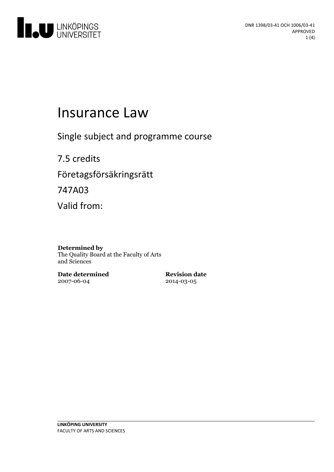

# Insurance Law

Single subject and programme course

7.5 credits Företagsförsäkringsrätt 747A03 Valid from:

#### **Determined by**

The Quality Board at the Faculty of Arts and Sciences

**Date determined** 2007-06-04

**Revision date** 2014-03-05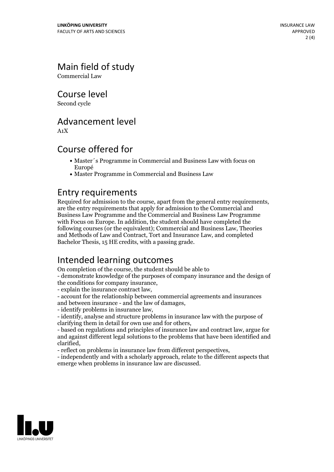# Main field of study

Commercial Law

Course level

Second cycle

#### Advancement level

A1X

#### Course offered for

- Master´s Programme in Commercial and Business Law with focus on Europé
- Master Programme in Commercial and Business Law

**Entry requirements**<br>Required for admission to the course, apart from the general entry requirements. are the entry requirements that apply for admission to the Commercial and Business Law Programme and the Commercial and Business Law Programme with Focus on Europe. In addition, the student should have completed the following courses (or the equivalent); Commercial and Business Law, Theories and Methods of Law and Contract, Tort and Insurance Law, and completed Bachelor Thesis, 15 HE credits, with a passing grade.

### Intended learning outcomes

On completion of the course, the student should be able to

- demonstrate knowledge ofthe purposes of company insurance and the design of

the conditions for company insurance,<br>
- explain the insurance contract law,<br>
- account for the relationship between commercial agreements and insurances<br>
and between insurance - and the law of damages.

- identify problems in insurance law,<br>- identify, analyse and structure problems in insurance law with the purpose of clarifying them in detail for own use and for others.

- based on regulations and principles of insurance law and contract law, argue for and against different legal solutions to the problems that have been identified and clarified, - reflect on problems in insurance law from different perspectives, - independently and with <sup>a</sup> scholarly approach, relate to the different aspects that

emerge when problems in insurance law are discussed.

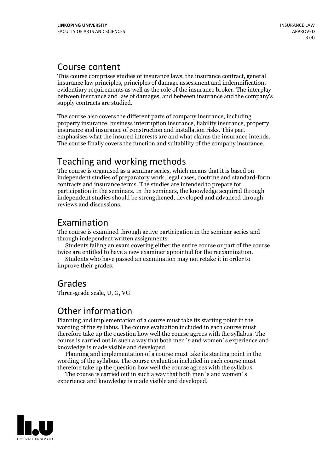#### Course content

This course comprises studies of insurance laws, the insurance contract, general insurance law principles, principles of damage assessment and indemnification, evidentiary requirements as well as the role of the insurance broker. The interplay between insurance and law of damages, and between insurance and the company's supply contracts are studied.

The course also covers the different parts of company insurance, including property insurance, business interruption insurance, liability insurance, property insurance and insurance of construction and installation risks. This part emphasises what the insured interests are and what claims the insurance intends. The course finally covers the function and suitability of the company insurance.

## Teaching and working methods

The course is organised as a seminar series, which means that it is based on independent studies of preparatory work, legal cases, doctrine and standard-form contracts and insurance terms. The studies are intended to prepare for participation in the seminars. In the seminars, the knowledge acquired through independent studies should be strengthened, developed and advanced through reviews and discussions.

#### Examination

The course is examined through active participation in the seminar series and

through independent written assignments. Students failing an exam covering either the entire course or part of the course

twice are entitled to have <sup>a</sup> new examiner appointed for the reexamination. Students who have passed an examination may not retake it in order to improve their grades.

#### Grades

Three-grade scale, U, G, VG

#### Other information

Planning and implementation of a course must take its starting point in the wording of the syllabus. The course evaluation included in each course must therefore take up the question how well the course agrees with the syllabus. The course is carried outin such a way that both men´s and women´s experience and knowledge is made visible and developed. Planning and implementation of <sup>a</sup> course must take its starting point in the

wording of the syllabus. The course evaluation included in each course must

therefore take up the question how well the course agrees with the syllabus. The course is carried outin such <sup>a</sup> way that both men´s and women´s experience and knowledge is made visible and developed.